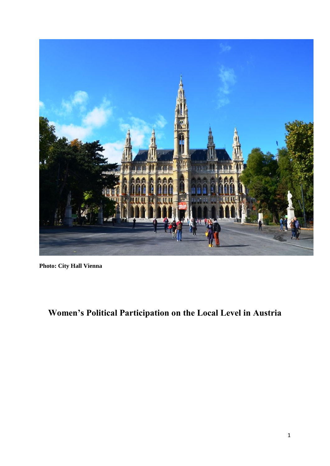

**Photo: City Hall Vienna**

**Women's Political Participation on the Local Level in Austria**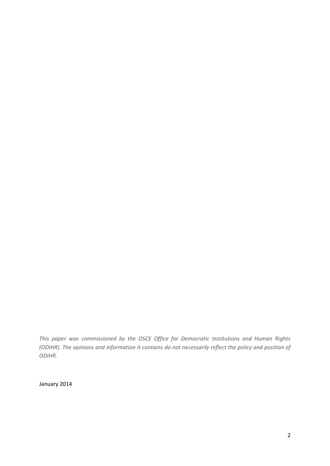*This paper was commissioned by the OSCE Office for Democratic Institutions and Human Rights (ODIHR). The opinions and information it contains do not necessarily reflect the policy and position of ODIHR.*

January 2014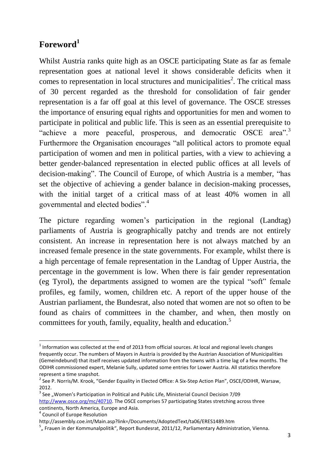# **Foreword<sup>1</sup>**

Whilst Austria ranks quite high as an OSCE participating State as far as female representation goes at national level it shows considerable deficits when it comes to representation in local structures and municipalities<sup>2</sup>. The critical mass of 30 percent regarded as the threshold for consolidation of fair gender representation is a far off goal at this level of governance. The OSCE stresses the importance of ensuring equal rights and opportunities for men and women to participate in political and public life. This is seen as an essential prerequisite to "achieve a more peaceful, prosperous, and democratic OSCE area".<sup>3</sup> Furthermore the Organisation encourages "all political actors to promote equal participation of women and men in political parties, with a view to achieving a better gender-balanced representation in elected public offices at all levels of decision-making". The Council of Europe, of which Austria is a member, "has set the objective of achieving a gender balance in decision-making processes, with the initial target of a critical mass of at least 40% women in all governmental and elected bodies".<sup>4</sup>

The picture regarding women's participation in the regional (Landtag) parliaments of Austria is geographically patchy and trends are not entirely consistent. An increase in representation here is not always matched by an increased female presence in the state governments. For example, whilst there is a high percentage of female representation in the Landtag of Upper Austria, the percentage in the government is low. When there is fair gender representation (eg Tyrol), the departments assigned to women are the typical "soft" female profiles, eg family, women, children etc. A report of the upper house of the Austrian parliament, the Bundesrat, also noted that women are not so often to be found as chairs of committees in the chamber, and when, then mostly on committees for youth, family, equality, health and education.<sup>5</sup>

<sup>1</sup>  $<sup>1</sup>$  Information was collected at the end of 2013 from official sources. At local and regional levels changes</sup> frequently occur. The numbers of Mayors in Austria is provided by the Austrian Association of Municipalities (Gemeindebund) that itself receives updated information from the towns with a time lag of a few months. The ODIHR commissioned expert, Melanie Sully, updated some entries for Lower Austria. All statistics therefore represent a time snapshot.

<sup>&</sup>lt;sup>2</sup> See P. Norris/M. Krook, "Gender Equality in Elected Office: A Six-Step Action Plan", OSCE/ODIHR, Warsaw, 2012.

 $3$  See "Women's Participation in Political and Public Life, Ministerial Council Decision 7/09 [http://www.osce.org/mc/40710.](http://www.osce.org/mc/40710) The OSCE comprises 57 participating States stretching across three continents, North America, Europe and Asia.

<sup>4</sup> Council of Europe Resolution

http://assembly.coe.int/Main.asp?link=/Documents/AdoptedText/ta06/ERES1489.htm

<sup>&</sup>lt;sup>5</sup> "Frauen in der Kommunalpolitik", Report Bundesrat, 2011/12, Parliamentary Administration, Vienna.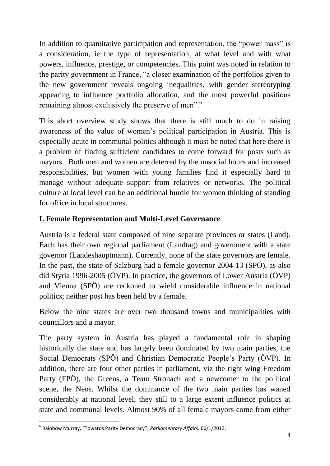In addition to quantitative participation and representation, the "power mass" is a consideration, ie the type of representation, at what level and with what powers, influence, prestige, or competencies. This point was noted in relation to the parity government in France, "a closer examination of the portfolios given to the new government reveals ongoing inequalities, with gender stereotyping appearing to influence portfolio allocation, and the most powerful positions remaining almost exclusively the preserve of men".<sup>6</sup>

This short overview study shows that there is still much to do in raising awareness of the value of women's political participation in Austria. This is especially acute in communal politics although it must be noted that here there is a problem of finding sufficient candidates to come forward for posts such as mayors. Both men and women are deterred by the unsocial hours and increased responsibilities, but women with young families find it especially hard to manage without adequate support from relatives or networks. The political culture at local level can be an additional hurdle for women thinking of standing for office in local structures.

# **I. Female Representation and Multi-Level Governance**

Austria is a federal state composed of nine separate provinces or states (Land). Each has their own regional parliament (Landtag) and government with a state governor (Landeshauptmann). Currently, none of the state governors are female. In the past, the state of Salzburg had a female governor 2004-13 (SPÖ), as also did Styria 1996-2005 (ÖVP). In practice, the governors of Lower Austria (ÖVP) and Vienna (SPÖ) are reckoned to wield considerable influence in national politics; neither post has been held by a female.

Below the nine states are over two thousand towns and municipalities with councillors and a mayor.

The party system in Austria has played a fundamental role in shaping historically the state and has largely been dominated by two main parties, the Social Democrats (SPÖ) and Christian Democratic People's Party (ÖVP). In addition, there are four other parties in parliament, viz the right wing Freedom Party (FPÖ), the Greens, a Team Stronach and a newcomer to the political scene, the Neos. Whilst the dominance of the two main parties has waned considerably at national level, they still to a large extent influence politics at state and communal levels. Almost 90% of all female mayors come from either

**<sup>.</sup>** 6 Rainbow Murray, "Towards Parity Democracy?, *Parliamentary Affairs,* 66/1/2013.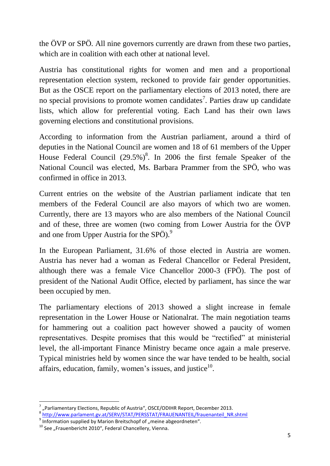the ÖVP or SPÖ. All nine governors currently are drawn from these two parties, which are in coalition with each other at national level.

Austria has constitutional rights for women and men and a proportional representation election system, reckoned to provide fair gender opportunities. But as the OSCE report on the parliamentary elections of 2013 noted, there are no special provisions to promote women candidates<sup>7</sup>. Parties draw up candidate lists, which allow for preferential voting. Each Land has their own laws governing elections and constitutional provisions.

According to information from the Austrian parliament, around a third of deputies in the National Council are women and 18 of 61 members of the Upper House Federal Council  $(29.5\%)^8$ . In 2006 the first female Speaker of the National Council was elected, Ms. Barbara Prammer from the SPÖ, who was confirmed in office in 2013.

Current entries on the website of the Austrian parliament indicate that ten members of the Federal Council are also mayors of which two are women. Currently, there are 13 mayors who are also members of the National Council and of these, three are women (two coming from Lower Austria for the ÖVP and one from Upper Austria for the SPÖ).<sup>9</sup>

In the European Parliament, 31.6% of those elected in Austria are women. Austria has never had a woman as Federal Chancellor or Federal President, although there was a female Vice Chancellor 2000-3 (FPÖ). The post of president of the National Audit Office, elected by parliament, has since the war been occupied by men.

The parliamentary elections of 2013 showed a slight increase in female representation in the Lower House or Nationalrat. The main negotiation teams for hammering out a coalition pact however showed a paucity of women representatives. Despite promises that this would be "rectified" at ministerial level, the all-important Finance Ministry became once again a male preserve. Typical ministries held by women since the war have tended to be health, social affairs, education, family, women's issues, and justice $10$ .

<sup>7</sup> "Parliamentary Elections, Republic of Austria", OSCE/ODIHR Report, December 2013.

<sup>&</sup>lt;sup>8</sup> [http://www.parlament.gv.at/SERV/STAT/PERSSTAT/FRAUENANTEIL/frauenanteil\\_NR.shtml](http://www.parlament.gv.at/SERV/STAT/PERSSTAT/FRAUENANTEIL/frauenanteil_NR.shtml)

 $9$  Information supplied by Marion Breitschopf of "meine abgeordneten".

 $10$  See "Frauenbericht 2010", Federal Chancellery, Vienna.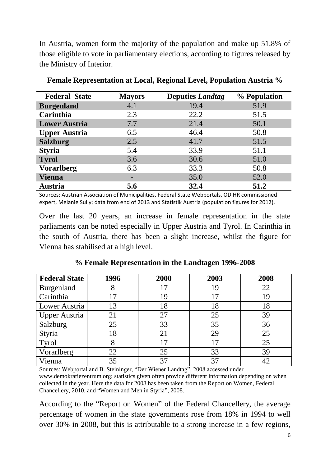In Austria, women form the majority of the population and make up 51.8% of those eligible to vote in parliamentary elections, according to figures released by the Ministry of Interior.

| <b>Federal State</b> | <b>Mayors</b>            | <b>Deputies Landtag</b> | % Population |
|----------------------|--------------------------|-------------------------|--------------|
| <b>Burgenland</b>    | 4.1                      | 19.4                    | 51.9         |
| Carinthia            | 2.3                      | 22.2                    | 51.5         |
| <b>Lower Austria</b> | 7.7                      | 21.4                    | 50.1         |
| <b>Upper Austria</b> | 6.5                      | 46.4                    | 50.8         |
| <b>Salzburg</b>      | 2.5                      | 41.7                    | 51.5         |
| <b>Styria</b>        | 5.4                      | 33.9                    | 51.1         |
| <b>Tyrol</b>         | 3.6                      | 30.6                    | 51.0         |
| <b>Vorarlberg</b>    | 6.3                      | 33.3                    | 50.8         |
| <b>Vienna</b>        | $\overline{\phantom{0}}$ | 35.0                    | 52.0         |
| <b>Austria</b>       | 5.6                      | 32.4                    | 51.2         |

**Female Representation at Local, Regional Level, Population Austria %**

Sources: Austrian Association of Municipalities, Federal State Webportals, ODIHR commissioned expert, Melanie Sully; data from end of 2013 and Statistik Austria (population figures for 2012).

Over the last 20 years, an increase in female representation in the state parliaments can be noted especially in Upper Austria and Tyrol. In Carinthia in the south of Austria, there has been a slight increase, whilst the figure for Vienna has stabilised at a high level.

| <b>Federal State</b> | 1996 | 2000 | 2003 | 2008 |
|----------------------|------|------|------|------|
| Burgenland           | δ    |      | 19   | 22   |
| Carinthia            | 17   | 19   | 17   | 19   |
| Lower Austria        | 13   | 18   | 18   | 18   |
| <b>Upper Austria</b> | 21   | 27   | 25   | 39   |
| Salzburg             | 25   | 33   | 35   | 36   |
| Styria               | 18   | 21   | 29   | 25   |
| <b>Tyrol</b>         | 8    |      | 17   | 25   |
| Vorarlberg           | 22   | 25   | 33   | 39   |
| Vienna               | 35   |      | 37   |      |

**% Female Representation in the Landtagen 1996-2008**

Sources: Webportal and B. Steininger, "Der Wiener Landtag", 2008 accessed under www.demokratiezentrum.org; statistics given often provide different information depending on when collected in the year. Here the data for 2008 has been taken from the Report on Women, Federal Chancellery, 2010, and "Women and Men in Styria", 2008.

According to the "Report on Women" of the Federal Chancellery, the average percentage of women in the state governments rose from 18% in 1994 to well over 30% in 2008, but this is attributable to a strong increase in a few regions,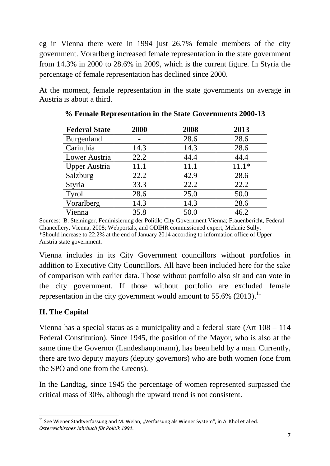eg in Vienna there were in 1994 just 26.7% female members of the city government. Vorarlberg increased female representation in the state government from 14.3% in 2000 to 28.6% in 2009, which is the current figure. In Styria the percentage of female representation has declined since 2000.

At the moment, female representation in the state governments on average in Austria is about a third.

| <b>Federal State</b> | 2000 | 2008 | 2013    |
|----------------------|------|------|---------|
| Burgenland           |      | 28.6 | 28.6    |
| Carinthia            | 14.3 | 14.3 | 28.6    |
| Lower Austria        | 22.2 | 44.4 | 44.4    |
| <b>Upper Austria</b> | 11.1 | 11.1 | $11.1*$ |
| Salzburg             | 22.2 | 42.9 | 28.6    |
| Styria               | 33.3 | 22.2 | 22.2    |
| <b>Tyrol</b>         | 28.6 | 25.0 | 50.0    |
| Vorarlberg           | 14.3 | 14.3 | 28.6    |
| Vienna               | 35.8 | 50.0 | 46.2    |

**% Female Representation in the State Governments 2000-13**

Sources: B. Steininger, Feminisierung der Politik; City Government Vienna; Frauenbericht, Federal Chancellery, Vienna, 2008; Webportals, and ODIHR commissioned expert, Melanie Sully. \*Should increase to 22.2% at the end of January 2014 according to information office of Upper Austria state government.

Vienna includes in its City Government councillors without portfolios in addition to Executive City Councillors. All have been included here for the sake of comparison with earlier data. Those without portfolio also sit and can vote in the city government. If those without portfolio are excluded female representation in the city government would amount to  $55.6\%$  (2013).<sup>11</sup>

# **II. The Capital**

Vienna has a special status as a municipality and a federal state (Art 108 – 114 Federal Constitution). Since 1945, the position of the Mayor, who is also at the same time the Governor (Landeshauptmann), has been held by a man. Currently, there are two deputy mayors (deputy governors) who are both women (one from the SPÖ and one from the Greens).

In the Landtag, since 1945 the percentage of women represented surpassed the critical mass of 30%, although the upward trend is not consistent.

<sup>1</sup>  $11$  See Wiener Stadtverfassung and M. Welan, "Verfassung als Wiener System", in A. Khol et al ed. *Österreichisches Jahrbuch für Politik 1991.*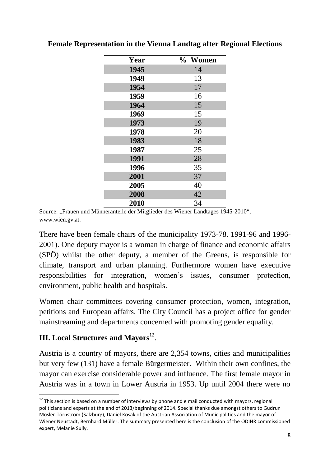| Year | % Women |
|------|---------|
| 1945 | 14      |
| 1949 | 13      |
| 1954 | 17      |
| 1959 | 16      |
| 1964 | 15      |
| 1969 | 15      |
| 1973 | 19      |
| 1978 | 20      |
| 1983 | 18      |
| 1987 | 25      |
| 1991 | 28      |
| 1996 | 35      |
| 2001 | 37      |
| 2005 | 40      |
| 2008 | 42      |
| 2010 | 34      |

**Female Representation in the Vienna Landtag after Regional Elections**

Source: "Frauen und Männeranteile der Mitglieder des Wiener Landtages 1945-2010". www.wien.gv.at.

There have been female chairs of the municipality 1973-78. 1991-96 and 1996- 2001). One deputy mayor is a woman in charge of finance and economic affairs (SPÖ) whilst the other deputy, a member of the Greens, is responsible for climate, transport and urban planning. Furthermore women have executive responsibilities for integration, women's issues, consumer protection, environment, public health and hospitals.

Women chair committees covering consumer protection, women, integration, petitions and European affairs. The City Council has a project office for gender mainstreaming and departments concerned with promoting gender equality.

# **III. Local Structures and Mayors**<sup>12</sup>.

**.** 

Austria is a country of mayors, there are 2,354 towns, cities and municipalities but very few (131) have a female Bürgermeister. Within their own confines, the mayor can exercise considerable power and influence. The first female mayor in Austria was in a town in Lower Austria in 1953. Up until 2004 there were no

 $12$  This section is based on a number of interviews by phone and e mail conducted with mayors, regional politicians and experts at the end of 2013/beginning of 2014. Special thanks due amongst others to Gudrun Mosler-Törnström (Salzburg), Daniel Kosak of the Austrian Association of Municipalities and the mayor of Wiener Neustadt, Bernhard Müller. The summary presented here is the conclusion of the ODIHR commissioned expert, Melanie Sully.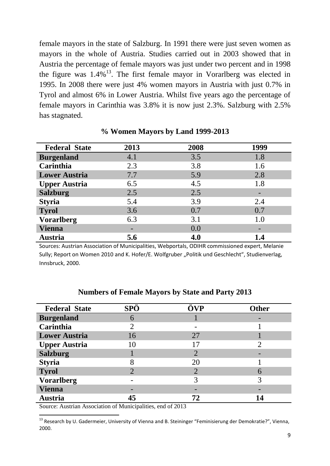female mayors in the state of Salzburg. In 1991 there were just seven women as mayors in the whole of Austria. Studies carried out in 2003 showed that in Austria the percentage of female mayors was just under two percent and in 1998 the figure was  $1.4\%$ <sup>13</sup>. The first female mayor in Vorarlberg was elected in 1995. In 2008 there were just 4% women mayors in Austria with just 0.7% in Tyrol and almost 6% in Lower Austria. Whilst five years ago the percentage of female mayors in Carinthia was 3.8% it is now just 2.3%. Salzburg with 2.5% has stagnated.

| <b>Federal State</b> | 2013 | 2008 | 1999 |
|----------------------|------|------|------|
|                      |      |      |      |
| <b>Burgenland</b>    | 4.1  | 3.5  | 1.8  |
| Carinthia            | 2.3  | 3.8  | 1.6  |
| <b>Lower Austria</b> | 7.7  | 5.9  | 2.8  |
| <b>Upper Austria</b> | 6.5  | 4.5  | 1.8  |
| <b>Salzburg</b>      | 2.5  | 2.5  |      |
| <b>Styria</b>        | 5.4  | 3.9  | 2.4  |
| <b>Tyrol</b>         | 3.6  | 0.7  | 0.7  |
| <b>Vorarlberg</b>    | 6.3  | 3.1  | 1.0  |
| <b>Vienna</b>        |      | 0.0  |      |
| <b>Austria</b>       | 5.6  | 4.0  | 1.4  |

**% Women Mayors by Land 1999-2013**

Sources: Austrian Association of Municipalities, Webportals, ODIHR commissioned expert, Melanie Sully; Report on Women 2010 and K. Hofer/E. Wolfgruber "Politik und Geschlecht", Studienverlag, Innsbruck, 2000.

| <b>Federal State</b> | <b>SPÖ</b> | ÖVP            | <b>Other</b> |
|----------------------|------------|----------------|--------------|
| <b>Burgenland</b>    | 6          |                |              |
| Carinthia            |            |                |              |
| <b>Lower Austria</b> | 16         | 27             |              |
| <b>Upper Austria</b> | 10         | 17             |              |
| <b>Salzburg</b>      |            | $\overline{2}$ |              |
| <b>Styria</b>        | 8          | 20             |              |
| <b>Tyrol</b>         |            | $\overline{2}$ | 6            |
| <b>Vorarlberg</b>    |            | 3              |              |
| <b>Vienna</b>        |            |                |              |
| <b>Austria</b>       | 45         | 72             | 14           |

#### **Numbers of Female Mayors by State and Party 2013**

Source: Austrian Association of Municipalities, end of 2013

1

<sup>13</sup> Research by U. Gadermeier, University of Vienna and B. Steininger "Feminisierung der Demokratie?", Vienna, 2000.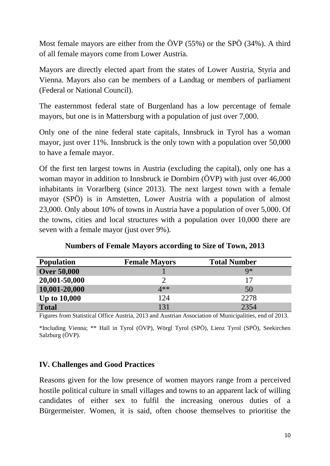Most female mayors are either from the ÖVP (55%) or the SPÖ (34%). A third of all female mayors come from Lower Austria.

Mayors are directly elected apart from the states of Lower Austria, Styria and Vienna. Mayors also can be members of a Landtag or members of parliament (Federal or National Council).

The easternmost federal state of Burgenland has a low percentage of female mayors, but one is in Mattersburg with a population of just over 7,000.

Only one of the nine federal state capitals, Innsbruck in Tyrol has a woman mayor, just over 11%. Innsbruck is the only town with a population over 50,000 to have a female mayor.

Of the first ten largest towns in Austria (excluding the capital), only one has a woman mayor in addition to Innsbruck ie Dornbirn (ÖVP) with just over 46,000 inhabitants in Vorarlberg (since 2013). The next largest town with a female mayor (SPÖ) is in Amstetten, Lower Austria with a population of almost 23,000. Only about 10% of towns in Austria have a population of over 5,000. Of the towns, cities and local structures with a population over 10,000 there are seven with a female mayor (just over 9%).

| <b>Population</b>   | <b>Female Mayors</b> | <b>Total Number</b> |
|---------------------|----------------------|---------------------|
| <b>Over 50,000</b>  |                      | $Q*$                |
| 20,001-50,000       |                      | 17                  |
| 10,001-20,000       | $4**$                | 50                  |
| <b>Up to 10,000</b> | 124                  | 2278                |
| <b>Total</b>        | 131                  | 2354                |

**Numbers of Female Mayors according to Size of Town, 2013**

Figures from Statistical Office Austria, 2013 and Austrian Association of Municipalities, end of 2013.

\*Including Vienna; \*\* Hall in Tyrol (ÖVP), Wörgl Tyrol (SPÖ), Lienz Tyrol (SPÖ), Seekirchen Salzburg (ÖVP).

#### **IV. Challenges and Good Practices**

Reasons given for the low presence of women mayors range from a perceived hostile political culture in small villages and towns to an apparent lack of willing candidates of either sex to fulfil the increasing onerous duties of a Bürgermeister. Women, it is said, often choose themselves to prioritise the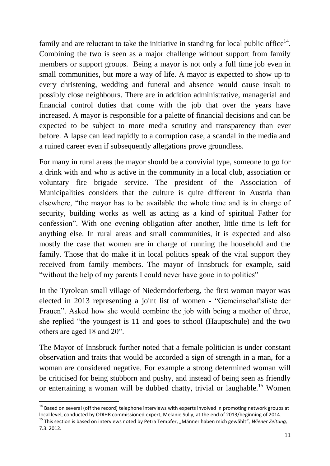family and are reluctant to take the initiative in standing for local public office $^{14}$ . Combining the two is seen as a major challenge without support from family members or support groups. Being a mayor is not only a full time job even in small communities, but more a way of life. A mayor is expected to show up to every christening, wedding and funeral and absence would cause insult to possibly close neighbours. There are in addition administrative, managerial and financial control duties that come with the job that over the years have increased. A mayor is responsible for a palette of financial decisions and can be expected to be subject to more media scrutiny and transparency than ever before. A lapse can lead rapidly to a corruption case, a scandal in the media and a ruined career even if subsequently allegations prove groundless.

For many in rural areas the mayor should be a convivial type, someone to go for a drink with and who is active in the community in a local club, association or voluntary fire brigade service. The president of the Association of Municipalities considers that the culture is quite different in Austria than elsewhere, "the mayor has to be available the whole time and is in charge of security, building works as well as acting as a kind of spiritual Father for confession". With one evening obligation after another, little time is left for anything else. In rural areas and small communities, it is expected and also mostly the case that women are in charge of running the household and the family. Those that do make it in local politics speak of the vital support they received from family members. The mayor of Innsbruck for example, said "without the help of my parents I could never have gone in to politics"

In the Tyrolean small village of Niederndorferberg, the first woman mayor was elected in 2013 representing a joint list of women - "Gemeinschaftsliste der Frauen". Asked how she would combine the job with being a mother of three, she replied "the youngest is 11 and goes to school (Hauptschule) and the two others are aged 18 and 20".

The Mayor of Innsbruck further noted that a female politician is under constant observation and traits that would be accorded a sign of strength in a man, for a woman are considered negative. For example a strong determined woman will be criticised for being stubborn and pushy, and instead of being seen as friendly or entertaining a woman will be dubbed chatty, trivial or laughable.<sup>15</sup> Women

<sup>&</sup>lt;sup>14</sup> Based on several (off the record) telephone interviews with experts involved in promoting network groups at local level, conducted by ODIHR commissioned expert, Melanie Sully, at the end of 2013/beginning of 2014.

<sup>&</sup>lt;sup>15</sup> This section is based on interviews noted by Petra Tempfer, "Männer haben mich gewählt", *Wiener Zeitung*, 7.3. 2012.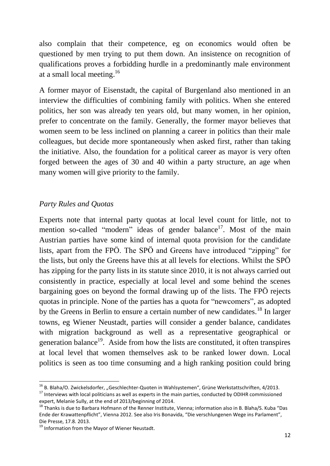also complain that their competence, eg on economics would often be questioned by men trying to put them down. An insistence on recognition of qualifications proves a forbidding hurdle in a predominantly male environment at a small local meeting.<sup>16</sup>

A former mayor of Eisenstadt, the capital of Burgenland also mentioned in an interview the difficulties of combining family with politics. When she entered politics, her son was already ten years old, but many women, in her opinion, prefer to concentrate on the family. Generally, the former mayor believes that women seem to be less inclined on planning a career in politics than their male colleagues, but decide more spontaneously when asked first, rather than taking the initiative. Also, the foundation for a political career as mayor is very often forged between the ages of 30 and 40 within a party structure, an age when many women will give priority to the family.

#### *Party Rules and Quotas*

Experts note that internal party quotas at local level count for little, not to mention so-called "modern" ideas of gender balance<sup>17</sup>. Most of the main Austrian parties have some kind of internal quota provision for the candidate lists, apart from the FPÖ. The SPÖ and Greens have introduced "zipping" for the lists, but only the Greens have this at all levels for elections. Whilst the SPÖ has zipping for the party lists in its statute since 2010, it is not always carried out consistently in practice, especially at local level and some behind the scenes bargaining goes on beyond the formal drawing up of the lists. The FPÖ rejects quotas in principle. None of the parties has a quota for "newcomers", as adopted by the Greens in Berlin to ensure a certain number of new candidates.<sup>18</sup> In larger towns, eg Wiener Neustadt, parties will consider a gender balance, candidates with migration background as well as a representative geographical or generation balance<sup>19</sup>. Aside from how the lists are constituted, it often transpires at local level that women themselves ask to be ranked lower down. Local politics is seen as too time consuming and a high ranking position could bring

1

 $^{16}$  B. Blaha/O. Zwickelsdorfer, "Geschlechter-Quoten in Wahlsystemen", Grüne Werkstattschriften, 4/2013. <sup>17</sup> Interviews with local politicians as well as experts in the main parties, conducted by ODIHR commissioned expert, Melanie Sully, at the end of 2013/beginning of 2014.

<sup>&</sup>lt;sup>18</sup> Thanks is due to Barbara Hofmann of the Renner Institute, Vienna; information also in B. Blaha/S. Kuba "Das Ende der Krawattenpflicht", Vienna 2012. See also Iris Bonavida, "Die verschlungenen Wege ins Parlament", Die Presse, 17.8. 2013.

<sup>&</sup>lt;sup>19</sup> Information from the Mayor of Wiener Neustadt.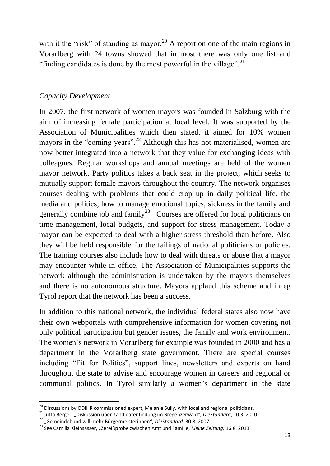with it the "risk" of standing as mayor.<sup>20</sup> A report on one of the main regions in Vorarlberg with 24 towns showed that in most there was only one list and "finding candidates is done by the most powerful in the village".<sup>21</sup>

### *Capacity Development*

In 2007, the first network of women mayors was founded in Salzburg with the aim of increasing female participation at local level. It was supported by the Association of Municipalities which then stated, it aimed for 10% women mayors in the "coming years".<sup>22</sup> Although this has not materialised, women are now better integrated into a network that they value for exchanging ideas with colleagues. Regular workshops and annual meetings are held of the women mayor network. Party politics takes a back seat in the project, which seeks to mutually support female mayors throughout the country. The network organises courses dealing with problems that could crop up in daily political life, the media and politics, how to manage emotional topics, sickness in the family and generally combine job and family<sup>23</sup>. Courses are offered for local politicians on time management, local budgets, and support for stress management. Today a mayor can be expected to deal with a higher stress threshold than before. Also they will be held responsible for the failings of national politicians or policies. The training courses also include how to deal with threats or abuse that a mayor may encounter while in office. The Association of Municipalities supports the network although the administration is undertaken by the mayors themselves and there is no autonomous structure. Mayors applaud this scheme and in eg Tyrol report that the network has been a success.

In addition to this national network, the individual federal states also now have their own webportals with comprehensive information for women covering not only political participation but gender issues, the family and work environment. The women's network in Vorarlberg for example was founded in 2000 and has a department in the Vorarlberg state government. There are special courses including "Fit for Politics", support lines, newsletters and experts on hand throughout the state to advise and encourage women in careers and regional or communal politics. In Tyrol similarly a women's department in the state

<sup>&</sup>lt;sup>20</sup> Discussions by ODIHR commissioned expert, Melanie Sully, with local and regional politicians.

<sup>21</sup> Jutta Berger, "Diskussion über Kandidatenfindung im Bregenzerwald", *DieStandard*, 10.3. 2010.

<sup>22</sup> "Gemeindebund will mehr Bürgermeisterinnen", *DieStandard,* 30.8. 2007.

<sup>&</sup>lt;sup>23</sup> See Camilla Kleinsasser, "Zereißprobe zwischen Amt und Familie, *Kleine Zeitung*, 16.8. 2013.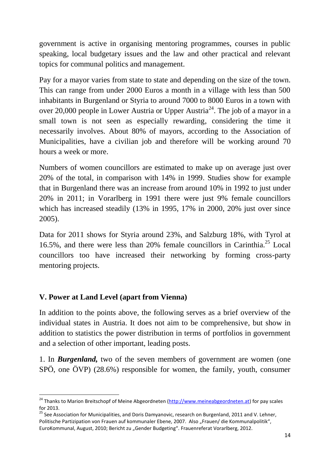government is active in organising mentoring programmes, courses in public speaking, local budgetary issues and the law and other practical and relevant topics for communal politics and management.

Pay for a mayor varies from state to state and depending on the size of the town. This can range from under 2000 Euros a month in a village with less than 500 inhabitants in Burgenland or Styria to around 7000 to 8000 Euros in a town with over 20,000 people in Lower Austria or Upper Austria<sup>24</sup>. The job of a mayor in a small town is not seen as especially rewarding, considering the time it necessarily involves. About 80% of mayors, according to the Association of Municipalities, have a civilian job and therefore will be working around 70 hours a week or more.

Numbers of women councillors are estimated to make up on average just over 20% of the total, in comparison with 14% in 1999. Studies show for example that in Burgenland there was an increase from around 10% in 1992 to just under 20% in 2011; in Vorarlberg in 1991 there were just 9% female councillors which has increased steadily (13% in 1995, 17% in 2000, 20% just over since 2005).

Data for 2011 shows for Styria around 23%, and Salzburg 18%, with Tyrol at 16.5%, and there were less than 20% female councillors in Carinthia.<sup>25</sup> Local councillors too have increased their networking by forming cross-party mentoring projects.

### **V. Power at Land Level (apart from Vienna)**

**.** 

In addition to the points above, the following serves as a brief overview of the individual states in Austria. It does not aim to be comprehensive, but show in addition to statistics the power distribution in terms of portfolios in government and a selection of other important, leading posts.

1. In *Burgenland,* two of the seven members of government are women (one SPÖ, one ÖVP) (28.6%) responsible for women, the family, youth, consumer

<sup>&</sup>lt;sup>24</sup> Thanks to Marion Breitschopf of Meine Abgeordneten [\(http://www.meineabgeordneten.at\)](http://www.meineabgeordneten.at/) for pay scales for 2013.

<sup>&</sup>lt;sup>25</sup> See Association for Municipalities, and Doris Damyanovic, research on Burgenland, 2011 and V. Lehner, Politische Partizipation von Frauen auf kommunaler Ebene, 2007. Also "Frauen/ die Kommunalpolitik", EuroKommunal, August, 2010; Bericht zu "Gender Budgeting". Frauenreferat Vorarlberg, 2012.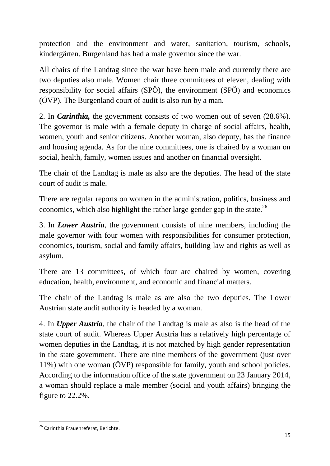protection and the environment and water, sanitation, tourism, schools, kindergärten. Burgenland has had a male governor since the war.

All chairs of the Landtag since the war have been male and currently there are two deputies also male. Women chair three committees of eleven, dealing with responsibility for social affairs (SPÖ), the environment (SPÖ) and economics (ÖVP). The Burgenland court of audit is also run by a man.

2. In *Carinthia,* the government consists of two women out of seven (28.6%). The governor is male with a female deputy in charge of social affairs, health, women, youth and senior citizens. Another woman, also deputy, has the finance and housing agenda. As for the nine committees, one is chaired by a woman on social, health, family, women issues and another on financial oversight.

The chair of the Landtag is male as also are the deputies. The head of the state court of audit is male.

There are regular reports on women in the administration, politics, business and economics, which also highlight the rather large gender gap in the state.<sup>26</sup>

3. In *Lower Austria,* the government consists of nine members, including the male governor with four women with responsibilities for consumer protection, economics, tourism, social and family affairs, building law and rights as well as asylum.

There are 13 committees, of which four are chaired by women, covering education, health, environment, and economic and financial matters.

The chair of the Landtag is male as are also the two deputies. The Lower Austrian state audit authority is headed by a woman.

4. In *Upper Austria,* the chair of the Landtag is male as also is the head of the state court of audit. Whereas Upper Austria has a relatively high percentage of women deputies in the Landtag, it is not matched by high gender representation in the state government. There are nine members of the government (just over 11%) with one woman (ÖVP) responsible for family, youth and school policies. According to the information office of the state government on 23 January 2014, a woman should replace a male member (social and youth affairs) bringing the figure to 22.2%.

**<sup>.</sup>** <sup>26</sup> Carinthia Frauenreferat, Berichte.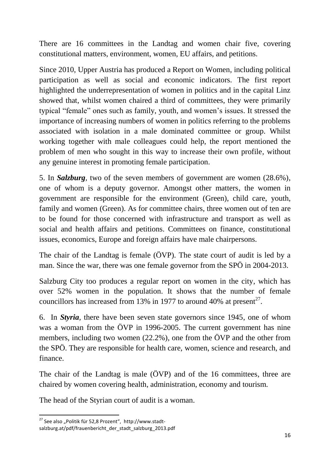There are 16 committees in the Landtag and women chair five, covering constitutional matters, environment, women, EU affairs, and petitions.

Since 2010, Upper Austria has produced a Report on Women, including political participation as well as social and economic indicators. The first report highlighted the underrepresentation of women in politics and in the capital Linz showed that, whilst women chaired a third of committees, they were primarily typical "female" ones such as family, youth, and women's issues. It stressed the importance of increasing numbers of women in politics referring to the problems associated with isolation in a male dominated committee or group. Whilst working together with male colleagues could help, the report mentioned the problem of men who sought in this way to increase their own profile, without any genuine interest in promoting female participation.

5. In *Salzburg,* two of the seven members of government are women (28.6%), one of whom is a deputy governor. Amongst other matters, the women in government are responsible for the environment (Green), child care, youth, family and women (Green). As for committee chairs, three women out of ten are to be found for those concerned with infrastructure and transport as well as social and health affairs and petitions. Committees on finance, constitutional issues, economics, Europe and foreign affairs have male chairpersons.

The chair of the Landtag is female (ÖVP). The state court of audit is led by a man. Since the war, there was one female governor from the SPÖ in 2004-2013.

Salzburg City too produces a regular report on women in the city, which has over 52% women in the population. It shows that the number of female councillors has increased from 13% in 1977 to around 40% at present<sup>27</sup>.

6. In *Styria,* there have been seven state governors since 1945, one of whom was a woman from the ÖVP in 1996-2005. The current government has nine members, including two women (22.2%), one from the ÖVP and the other from the SPÖ. They are responsible for health care, women, science and research, and finance.

The chair of the Landtag is male (ÖVP) and of the 16 committees, three are chaired by women covering health, administration, economy and tourism.

The head of the Styrian court of audit is a woman.

<sup>1</sup> <sup>27</sup> See also "Politik für 52,8 Prozent", http://www.stadtsalzburg.at/pdf/frauenbericht\_der\_stadt\_salzburg\_2013.pdf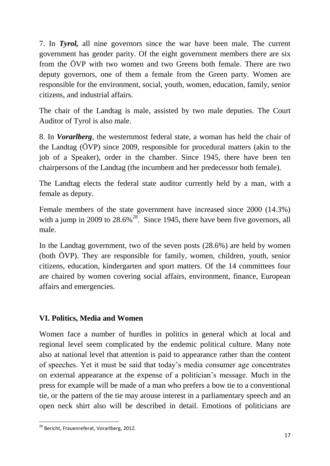7. In *Tyrol,* all nine governors since the war have been male. The current government has gender parity. Of the eight government members there are six from the ÖVP with two women and two Greens both female. There are two deputy governors, one of them a female from the Green party. Women are responsible for the environment, social, youth, women, education, family, senior citizens, and industrial affairs.

The chair of the Landtag is male, assisted by two male deputies. The Court Auditor of Tyrol is also male.

8. In *Vorarlberg,* the westernmost federal state, a woman has held the chair of the Landtag (ÖVP) since 2009, responsible for procedural matters (akin to the job of a Speaker), order in the chamber. Since 1945, there have been ten chairpersons of the Landtag (the incumbent and her predecessor both female).

The Landtag elects the federal state auditor currently held by a man, with a female as deputy.

Female members of the state government have increased since 2000 (14.3%) with a jump in 2009 to  $28.6\%$ <sup>28</sup>. Since 1945, there have been five governors, all male.

In the Landtag government, two of the seven posts (28.6%) are held by women (both ÖVP). They are responsible for family, women, children, youth, senior citizens, education, kindergarten and sport matters. Of the 14 committees four are chaired by women covering social affairs, environment, finance, European affairs and emergencies.

# **VI. Politics, Media and Women**

Women face a number of hurdles in politics in general which at local and regional level seem complicated by the endemic political culture. Many note also at national level that attention is paid to appearance rather than the content of speeches. Yet it must be said that today's media consumer age concentrates on external appearance at the expense of a politician's message. Much in the press for example will be made of a man who prefers a bow tie to a conventional tie, or the pattern of the tie may arouse interest in a parliamentary speech and an open neck shirt also will be described in detail. Emotions of politicians are

**<sup>.</sup>** <sup>28</sup> Bericht, Frauenreferat, Vorarlberg, 2012.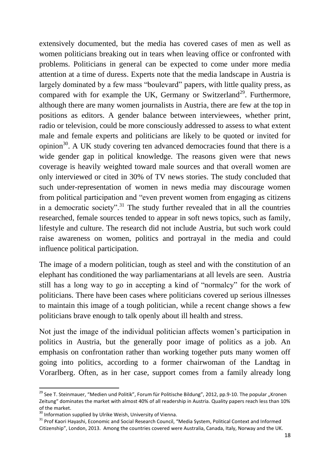extensively documented, but the media has covered cases of men as well as women politicians breaking out in tears when leaving office or confronted with problems. Politicians in general can be expected to come under more media attention at a time of duress. Experts note that the media landscape in Austria is largely dominated by a few mass "boulevard" papers, with little quality press, as compared with for example the UK, Germany or Switzerland<sup>29</sup>. Furthermore, although there are many women journalists in Austria, there are few at the top in positions as editors. A gender balance between interviewees, whether print, radio or television, could be more consciously addressed to assess to what extent male and female experts and politicians are likely to be quoted or invited for opinion<sup>30</sup>. A UK study covering ten advanced democracies found that there is a wide gender gap in political knowledge. The reasons given were that news coverage is heavily weighted toward male sources and that overall women are only interviewed or cited in 30% of TV news stories. The study concluded that such under-representation of women in news media may discourage women from political participation and "even prevent women from engaging as citizens in a democratic society".<sup>31</sup> The study further revealed that in all the countries researched, female sources tended to appear in soft news topics, such as family, lifestyle and culture. The research did not include Austria, but such work could raise awareness on women, politics and portrayal in the media and could influence political participation.

The image of a modern politician, tough as steel and with the constitution of an elephant has conditioned the way parliamentarians at all levels are seen. Austria still has a long way to go in accepting a kind of "normalcy" for the work of politicians. There have been cases where politicians covered up serious illnesses to maintain this image of a tough politician, while a recent change shows a few politicians brave enough to talk openly about ill health and stress.

Not just the image of the individual politician affects women's participation in politics in Austria, but the generally poor image of politics as a job. An emphasis on confrontation rather than working together puts many women off going into politics, according to a former chairwoman of the Landtag in Vorarlberg. Often, as in her case, support comes from a family already long

<sup>&</sup>lt;sup>29</sup> See T. Steinmauer, "Medien und Politik", Forum für Politische Bildung", 2012, pp.9-10. The popular "Kronen Zeitung" dominates the market with almost 40% of all readership in Austria. Quality papers reach less than 10% of the market.

<sup>&</sup>lt;sup>30</sup> Information supplied by Ulrike Weish, University of Vienna.

<sup>&</sup>lt;sup>31</sup> Prof Kaori Hayashi, Economic and Social Research Council, "Media System, Political Context and Informed Citizenship", London, 2013. Among the countries covered were Australia, Canada, Italy, Norway and the UK.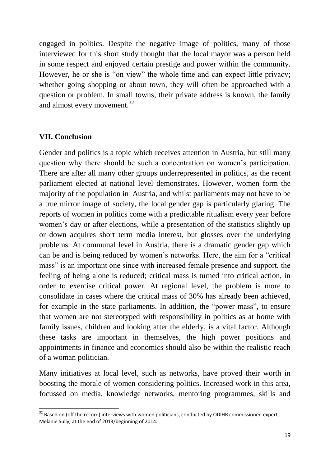engaged in politics. Despite the negative image of politics, many of those interviewed for this short study thought that the local mayor was a person held in some respect and enjoyed certain prestige and power within the community. However, he or she is "on view" the whole time and can expect little privacy; whether going shopping or about town, they will often be approached with a question or problem. In small towns, their private address is known, the family and almost every movement.<sup>32</sup>

### **VII. Conclusion**

**.** 

Gender and politics is a topic which receives attention in Austria, but still many question why there should be such a concentration on women's participation. There are after all many other groups underrepresented in politics, as the recent parliament elected at national level demonstrates. However, women form the majority of the population in Austria, and whilst parliaments may not have to be a true mirror image of society, the local gender gap is particularly glaring. The reports of women in politics come with a predictable ritualism every year before women's day or after elections, while a presentation of the statistics slightly up or down acquires short term media interest, but glosses over the underlying problems. At communal level in Austria, there is a dramatic gender gap which can be and is being reduced by women's networks. Here, the aim for a "critical mass" is an important one since with increased female presence and support, the feeling of being alone is reduced; critical mass is turned into critical action, in order to exercise critical power. At regional level, the problem is more to consolidate in cases where the critical mass of 30% has already been achieved, for example in the state parliaments. In addition, the "power mass", to ensure that women are not stereotyped with responsibility in politics as at home with family issues, children and looking after the elderly, is a vital factor. Although these tasks are important in themselves, the high power positions and appointments in finance and economics should also be within the realistic reach of a woman politician.

Many initiatives at local level, such as networks, have proved their worth in boosting the morale of women considering politics. Increased work in this area, focussed on media, knowledge networks, mentoring programmes, skills and

 $32$  Based on (off the record) interviews with women politicians, conducted by ODIHR commissioned expert, Melanie Sully, at the end of 2013/beginning of 2014.